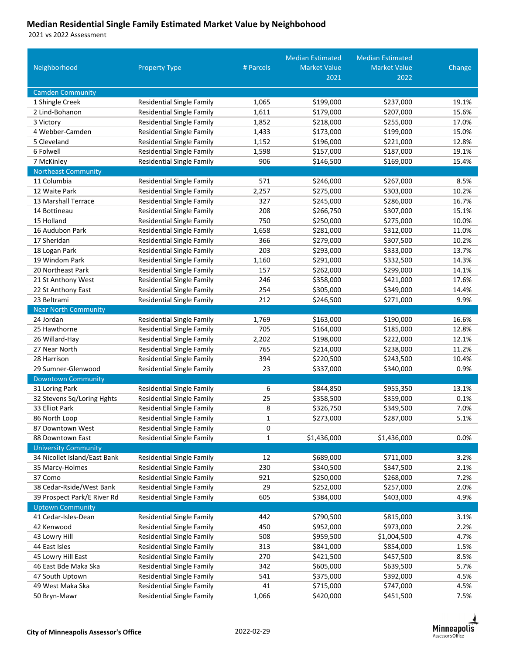## **Median Residential Single Family Estimated Market Value by Neighbohood**

vs 2022 Assessment

|                              |                                  |           | <b>Median Estimated</b> | <b>Median Estimated</b> |        |
|------------------------------|----------------------------------|-----------|-------------------------|-------------------------|--------|
| Neighborhood                 | <b>Property Type</b>             | # Parcels | <b>Market Value</b>     | <b>Market Value</b>     | Change |
|                              |                                  |           | 2021                    | 2022                    |        |
| <b>Camden Community</b>      |                                  |           |                         |                         |        |
| 1 Shingle Creek              | Residential Single Family        | 1,065     | \$199,000               | \$237,000               | 19.1%  |
| 2 Lind-Bohanon               | <b>Residential Single Family</b> | 1,611     | \$179,000               | \$207,000               | 15.6%  |
| 3 Victory                    | <b>Residential Single Family</b> | 1,852     | \$218,000               | \$255,000               | 17.0%  |
| 4 Webber-Camden              | <b>Residential Single Family</b> | 1,433     | \$173,000               | \$199,000               | 15.0%  |
| 5 Cleveland                  | <b>Residential Single Family</b> | 1,152     | \$196,000               | \$221,000               | 12.8%  |
| 6 Folwell                    | <b>Residential Single Family</b> | 1,598     | \$157,000               | \$187,000               | 19.1%  |
| 7 McKinley                   | <b>Residential Single Family</b> | 906       | \$146,500               | \$169,000               | 15.4%  |
| <b>Northeast Community</b>   |                                  |           |                         |                         |        |
| 11 Columbia                  | <b>Residential Single Family</b> | 571       | \$246,000               | \$267,000               | 8.5%   |
| 12 Waite Park                | <b>Residential Single Family</b> | 2,257     | \$275,000               | \$303,000               | 10.2%  |
| 13 Marshall Terrace          | <b>Residential Single Family</b> | 327       | \$245,000               | \$286,000               | 16.7%  |
| 14 Bottineau                 | <b>Residential Single Family</b> | 208       | \$266,750               | \$307,000               | 15.1%  |
| 15 Holland                   | <b>Residential Single Family</b> | 750       | \$250,000               | \$275,000               | 10.0%  |
| 16 Audubon Park              | <b>Residential Single Family</b> | 1,658     | \$281,000               | \$312,000               | 11.0%  |
| 17 Sheridan                  | <b>Residential Single Family</b> | 366       | \$279,000               | \$307,500               | 10.2%  |
| 18 Logan Park                | <b>Residential Single Family</b> | 203       | \$293,000               | \$333,000               | 13.7%  |
| 19 Windom Park               | <b>Residential Single Family</b> | 1,160     | \$291,000               | \$332,500               | 14.3%  |
| 20 Northeast Park            | <b>Residential Single Family</b> | 157       | \$262,000               | \$299,000               | 14.1%  |
| 21 St Anthony West           | <b>Residential Single Family</b> | 246       | \$358,000               | \$421,000               | 17.6%  |
| 22 St Anthony East           | <b>Residential Single Family</b> | 254       | \$305,000               | \$349,000               | 14.4%  |
| 23 Beltrami                  | <b>Residential Single Family</b> | 212       | \$246,500               | \$271,000               | 9.9%   |
| <b>Near North Community</b>  |                                  |           |                         |                         |        |
| 24 Jordan                    | <b>Residential Single Family</b> | 1,769     | \$163,000               | \$190,000               | 16.6%  |
| 25 Hawthorne                 | <b>Residential Single Family</b> | 705       | \$164,000               | \$185,000               | 12.8%  |
| 26 Willard-Hay               | <b>Residential Single Family</b> | 2,202     | \$198,000               | \$222,000               | 12.1%  |
| 27 Near North                | <b>Residential Single Family</b> | 765       | \$214,000               | \$238,000               | 11.2%  |
| 28 Harrison                  | <b>Residential Single Family</b> | 394       | \$220,500               | \$243,500               | 10.4%  |
| 29 Sumner-Glenwood           | Residential Single Family        | 23        | \$337,000               | \$340,000               | 0.9%   |
| <b>Downtown Community</b>    |                                  |           |                         |                         |        |
| 31 Loring Park               | <b>Residential Single Family</b> | 6         | \$844,850               | \$955,350               | 13.1%  |
| 32 Stevens Sq/Loring Hghts   | <b>Residential Single Family</b> | 25        | \$358,500               | \$359,000               | 0.1%   |
| 33 Elliot Park               | <b>Residential Single Family</b> | 8         | \$326,750               | \$349,500               | 7.0%   |
| 86 North Loop                | Residential Single Family        | 1         | \$273,000               | \$287,000               | 5.1%   |
| 87 Downtown West             | <b>Residential Single Family</b> | 0         |                         |                         |        |
| 88 Downtown East             | <b>Residential Single Family</b> | 1         | \$1,436,000             | \$1,436,000             | 0.0%   |
| <b>University Community</b>  |                                  |           |                         |                         |        |
| 34 Nicollet Island/East Bank | <b>Residential Single Family</b> | 12        | \$689,000               | \$711,000               | 3.2%   |
| 35 Marcy-Holmes              | <b>Residential Single Family</b> | 230       | \$340,500               | \$347,500               | 2.1%   |
| 37 Como                      | <b>Residential Single Family</b> | 921       | \$250,000               | \$268,000               | 7.2%   |
| 38 Cedar-Rside/West Bank     | <b>Residential Single Family</b> | 29        | \$252,000               | \$257,000               | 2.0%   |
| 39 Prospect Park/E River Rd  | <b>Residential Single Family</b> | 605       | \$384,000               | \$403,000               | 4.9%   |
| <b>Uptown Community</b>      |                                  |           |                         |                         |        |
| 41 Cedar-Isles-Dean          | Residential Single Family        | 442       | \$790,500               | \$815,000               | 3.1%   |
| 42 Kenwood                   | <b>Residential Single Family</b> | 450       | \$952,000               | \$973,000               | 2.2%   |
| 43 Lowry Hill                | <b>Residential Single Family</b> | 508       | \$959,500               | \$1,004,500             | 4.7%   |
| 44 East Isles                | <b>Residential Single Family</b> | 313       | \$841,000               | \$854,000               | 1.5%   |
| 45 Lowry Hill East           | <b>Residential Single Family</b> | 270       | \$421,500               | \$457,500               | 8.5%   |
| 46 East Bde Maka Ska         | <b>Residential Single Family</b> | 342       | \$605,000               | \$639,500               | 5.7%   |
| 47 South Uptown              | <b>Residential Single Family</b> | 541       | \$375,000               | \$392,000               | 4.5%   |
| 49 West Maka Ska             | <b>Residential Single Family</b> | 41        | \$715,000               | \$747,000               | 4.5%   |
| 50 Bryn-Mawr                 | <b>Residential Single Family</b> | 1,066     | \$420,000               | \$451,500               | 7.5%   |